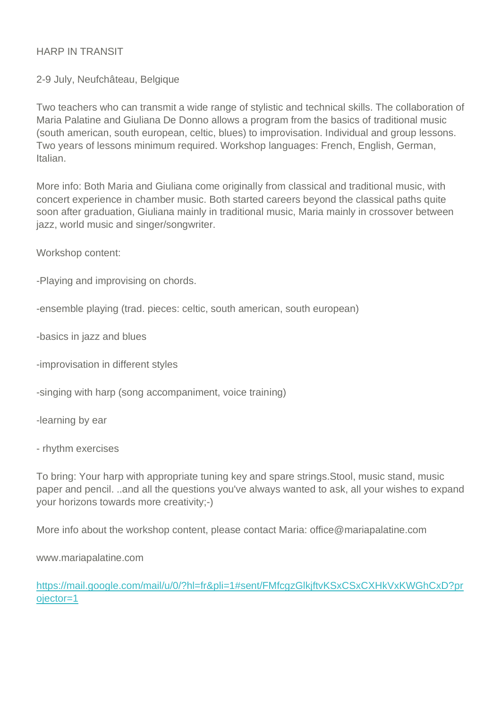## HARP IN TRANSIT

## 2-9 July, Neufchâteau, Belgique

Two teachers who can transmit a wide range of stylistic and technical skills. The collaboration of Maria Palatine and Giuliana De Donno allows a program from the basics of traditional music (south american, south european, celtic, blues) to improvisation. Individual and group lessons. Two years of lessons minimum required. Workshop languages: French, English, German, Italian.

More info: Both Maria and Giuliana come originally from classical and traditional music, with concert experience in chamber music. Both started careers beyond the classical paths quite soon after graduation, Giuliana mainly in traditional music, Maria mainly in crossover between jazz, world music and singer/songwriter.

Workshop content:

-Playing and improvising on chords.

-ensemble playing (trad. pieces: celtic, south american, south european)

-basics in jazz and blues

-improvisation in different styles

-singing with harp (song accompaniment, voice training)

-learning by ear

- rhythm exercises

To bring: Your harp with appropriate tuning key and spare strings.Stool, music stand, music paper and pencil. ..and all the questions you've always wanted to ask, all your wishes to expand your horizons towards more creativity;-)

More info about the workshop content, please contact Maria: office@mariapalatine.com

www.mariapalatine.com

[https://mail.google.com/mail/u/0/?hl=fr&pli=1#sent/FMfcgzGlkjftvKSxCSxCXHkVxKWGhCxD?pr](https://mail.google.com/mail/u/0/?hl=fr&pli=1#sent/FMfcgzGlkjftvKSxCSxCXHkVxKWGhCxD?projector=1) [ojector=1](https://mail.google.com/mail/u/0/?hl=fr&pli=1#sent/FMfcgzGlkjftvKSxCSxCXHkVxKWGhCxD?projector=1)